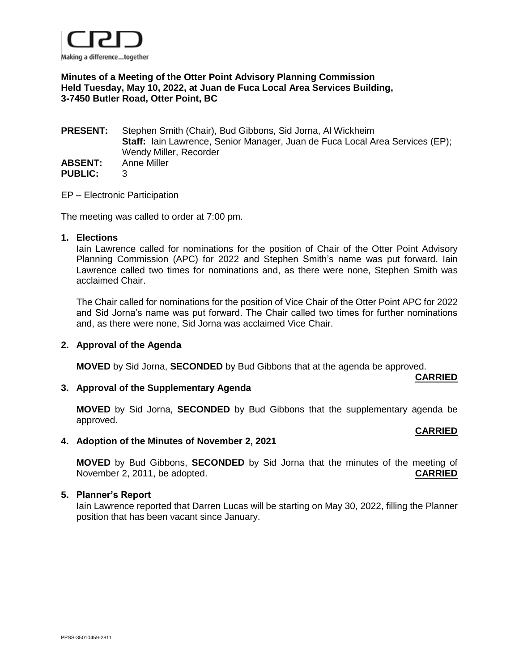

# **Minutes of a Meeting of the Otter Point Advisory Planning Commission Held Tuesday, May 10, 2022, at Juan de Fuca Local Area Services Building, 3-7450 Butler Road, Otter Point, BC**

| <b>PRESENT:</b> | Stephen Smith (Chair), Bud Gibbons, Sid Jorna, Al Wickheim                          |
|-----------------|-------------------------------------------------------------------------------------|
|                 | <b>Staff:</b> lain Lawrence, Senior Manager, Juan de Fuca Local Area Services (EP); |
|                 | Wendy Miller, Recorder                                                              |
| <b>ABSENT:</b>  | Anne Miller                                                                         |
| <b>PUBLIC:</b>  | 3.                                                                                  |

### EP – Electronic Participation

The meeting was called to order at 7:00 pm.

### **1. Elections**

Iain Lawrence called for nominations for the position of Chair of the Otter Point Advisory Planning Commission (APC) for 2022 and Stephen Smith's name was put forward. Iain Lawrence called two times for nominations and, as there were none, Stephen Smith was acclaimed Chair.

The Chair called for nominations for the position of Vice Chair of the Otter Point APC for 2022 and Sid Jorna's name was put forward. The Chair called two times for further nominations and, as there were none, Sid Jorna was acclaimed Vice Chair.

## **2. Approval of the Agenda**

**MOVED** by Sid Jorna, **SECONDED** by Bud Gibbons that at the agenda be approved.

#### **CARRIED**

## **3. Approval of the Supplementary Agenda**

**MOVED** by Sid Jorna, **SECONDED** by Bud Gibbons that the supplementary agenda be approved.

#### **CARRIED**

## **4. Adoption of the Minutes of November 2, 2021**

**MOVED** by Bud Gibbons, **SECONDED** by Sid Jorna that the minutes of the meeting of November 2, 2011, be adopted. **CARRIED**

#### **5. Planner's Report**

Iain Lawrence reported that Darren Lucas will be starting on May 30, 2022, filling the Planner position that has been vacant since January.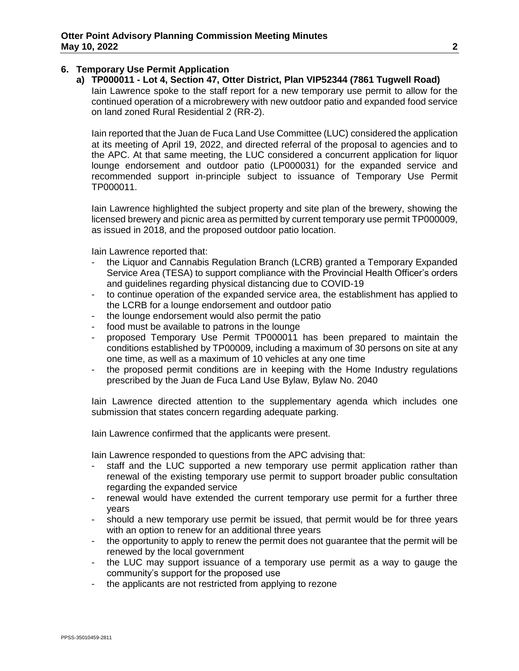# **6. Temporary Use Permit Application**

**a) TP000011 - Lot 4, Section 47, Otter District, Plan VIP52344 (7861 Tugwell Road)** Iain Lawrence spoke to the staff report for a new temporary use permit to allow for the continued operation of a microbrewery with new outdoor patio and expanded food service on land zoned Rural Residential 2 (RR-2).

Iain reported that the Juan de Fuca Land Use Committee (LUC) considered the application at its meeting of April 19, 2022, and directed referral of the proposal to agencies and to the APC. At that same meeting, the LUC considered a concurrent application for liquor lounge endorsement and outdoor patio (LP000031) for the expanded service and recommended support in-principle subject to issuance of Temporary Use Permit TP000011.

Iain Lawrence highlighted the subject property and site plan of the brewery, showing the licensed brewery and picnic area as permitted by current temporary use permit TP000009, as issued in 2018, and the proposed outdoor patio location.

Iain Lawrence reported that:

- the Liquor and Cannabis Regulation Branch (LCRB) granted a Temporary Expanded Service Area (TESA) to support compliance with the Provincial Health Officer's orders and guidelines regarding physical distancing due to COVID-19
- to continue operation of the expanded service area, the establishment has applied to the LCRB for a lounge endorsement and outdoor patio
- the lounge endorsement would also permit the patio
- food must be available to patrons in the lounge
- proposed Temporary Use Permit TP000011 has been prepared to maintain the conditions established by TP00009, including a maximum of 30 persons on site at any one time, as well as a maximum of 10 vehicles at any one time
- the proposed permit conditions are in keeping with the Home Industry regulations prescribed by the Juan de Fuca Land Use Bylaw, Bylaw No. 2040

Iain Lawrence directed attention to the supplementary agenda which includes one submission that states concern regarding adequate parking.

Iain Lawrence confirmed that the applicants were present.

Iain Lawrence responded to questions from the APC advising that:

- staff and the LUC supported a new temporary use permit application rather than renewal of the existing temporary use permit to support broader public consultation regarding the expanded service
- renewal would have extended the current temporary use permit for a further three years
- should a new temporary use permit be issued, that permit would be for three years with an option to renew for an additional three years
- the opportunity to apply to renew the permit does not guarantee that the permit will be renewed by the local government
- the LUC may support issuance of a temporary use permit as a way to gauge the community's support for the proposed use
- the applicants are not restricted from applying to rezone